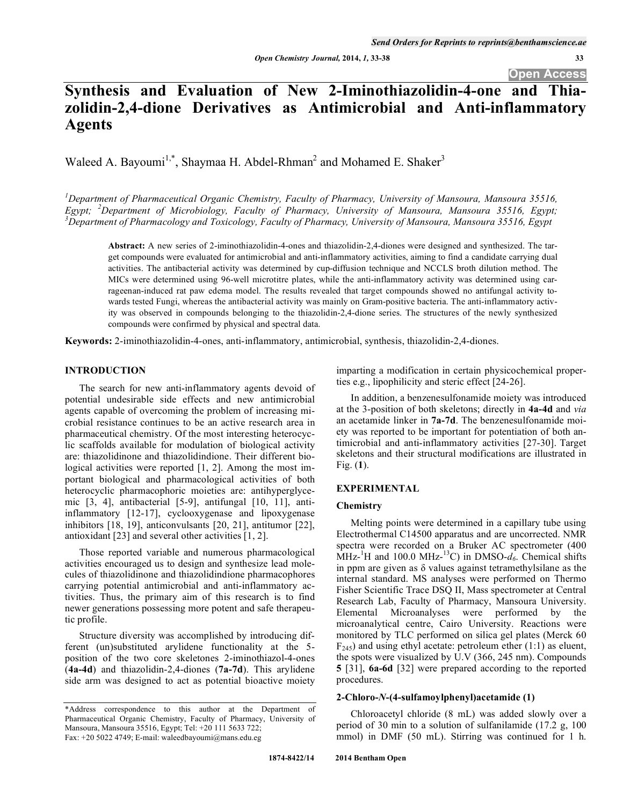# **Synthesis and Evaluation of New 2-Iminothiazolidin-4-one and Thiazolidin-2,4-dione Derivatives as Antimicrobial and Anti-inflammatory Agents**

Waleed A. Bayoumi<sup>1,\*</sup>, Shaymaa H. Abdel-Rhman<sup>2</sup> and Mohamed E. Shaker<sup>3</sup>

*1 Department of Pharmaceutical Organic Chemistry, Faculty of Pharmacy, University of Mansoura, Mansoura 35516, Egypt;* <sup>2</sup>Department of Microbiology, Faculty of Pharmacy, University of Mansoura, Mansoura 35516, Egypt;<br><sup>3</sup>Department of Pharmacelogy and Tovicology, Faculty of Pharmacy, University of Mansoura, Mansoura 35516, Egypt; *Department of Pharmacology and Toxicology, Faculty of Pharmacy, University of Mansoura, Mansoura 35516, Egypt* 

**Abstract:** A new series of 2-iminothiazolidin-4-ones and thiazolidin-2,4-diones were designed and synthesized. The target compounds were evaluated for antimicrobial and anti-inflammatory activities, aiming to find a candidate carrying dual activities. The antibacterial activity was determined by cup-diffusion technique and NCCLS broth dilution method. The MICs were determined using 96-well microtitre plates, while the anti-inflammatory activity was determined using carrageenan-induced rat paw edema model. The results revealed that target compounds showed no antifungal activity towards tested Fungi, whereas the antibacterial activity was mainly on Gram-positive bacteria. The anti-inflammatory activity was observed in compounds belonging to the thiazolidin-2,4-dione series. The structures of the newly synthesized compounds were confirmed by physical and spectral data.

**Keywords:** 2-iminothiazolidin-4-ones, anti-inflammatory, antimicrobial, synthesis, thiazolidin-2,4-diones.

# **INTRODUCTION**

The search for new anti-inflammatory agents devoid of potential undesirable side effects and new antimicrobial agents capable of overcoming the problem of increasing microbial resistance continues to be an active research area in pharmaceutical chemistry. Of the most interesting heterocyclic scaffolds available for modulation of biological activity are: thiazolidinone and thiazolidindione. Their different biological activities were reported [1, 2]. Among the most important biological and pharmacological activities of both heterocyclic pharmacophoric moieties are: antihyperglycemic [3, 4], antibacterial [5-9], antifungal [10, 11], antiinflammatory [12-17], cyclooxygenase and lipoxygenase inhibitors [18, 19], anticonvulsants [20, 21], antitumor [22], antioxidant [23] and several other activities [1, 2].

Those reported variable and numerous pharmacological activities encouraged us to design and synthesize lead molecules of thiazolidinone and thiazolidindione pharmacophores carrying potential antimicrobial and anti-inflammatory activities. Thus, the primary aim of this research is to find newer generations possessing more potent and safe therapeutic profile.

Structure diversity was accomplished by introducing different (un)substituted arylidene functionality at the 5 position of the two core skeletones 2-iminothiazol-4-ones (**4a-4d**) and thiazolidin-2,4-diones (**7a-7d**). This arylidene side arm was designed to act as potential bioactive moiety imparting a modification in certain physicochemical properties e.g., lipophilicity and steric effect [24-26].

In addition, a benzenesulfonamide moiety was introduced at the 3-position of both skeletons; directly in **4a-4d** and *via* an acetamide linker in **7a-7d**. The benzenesulfonamide moiety was reported to be important for potentiation of both antimicrobial and anti-inflammatory activities [27-30]. Target skeletons and their structural modifications are illustrated in Fig. (**1**).

## **EXPERIMENTAL**

#### **Chemistry**

Melting points were determined in a capillary tube using Electrothermal C14500 apparatus and are uncorrected. NMR spectra were recorded on a Bruker AC spectrometer (400  $\text{MHz}^{-1}\text{H}$  and 100.0 MHz<sup>-13</sup>C) in DMSO- $d_6$ . Chemical shifts in ppm are given as  $\delta$  values against tetramethylsilane as the internal standard. MS analyses were performed on Thermo Fisher Scientific Trace DSQ II, Mass spectrometer at Central Research Lab, Faculty of Pharmacy, Mansoura University. Elemental Microanalyses were performed by the microanalytical centre, Cairo University. Reactions were monitored by TLC performed on silica gel plates (Merck 60  $F_{245}$ ) and using ethyl acetate: petroleum ether (1:1) as eluent, the spots were visualized by U.V (366, 245 nm). Compounds **5** [31], **6a-6d** [32] were prepared according to the reported procedures.

## **2-Chloro-***N***-(4-sulfamoylphenyl)acetamide (1)**

Chloroacetyl chloride (8 mL) was added slowly over a period of 30 min to a solution of sulfanilamide (17.2 g, 100 mmol) in DMF (50 mL). Stirring was continued for 1 h.

<sup>\*</sup>Address correspondence to this author at the Department of Pharmaceutical Organic Chemistry, Faculty of Pharmacy, University of Mansoura, Mansoura 35516, Egypt; Tel: +20 111 5633 722; Fax: +20 5022 4749; E-mail: waleedbayoumi@mans.edu.eg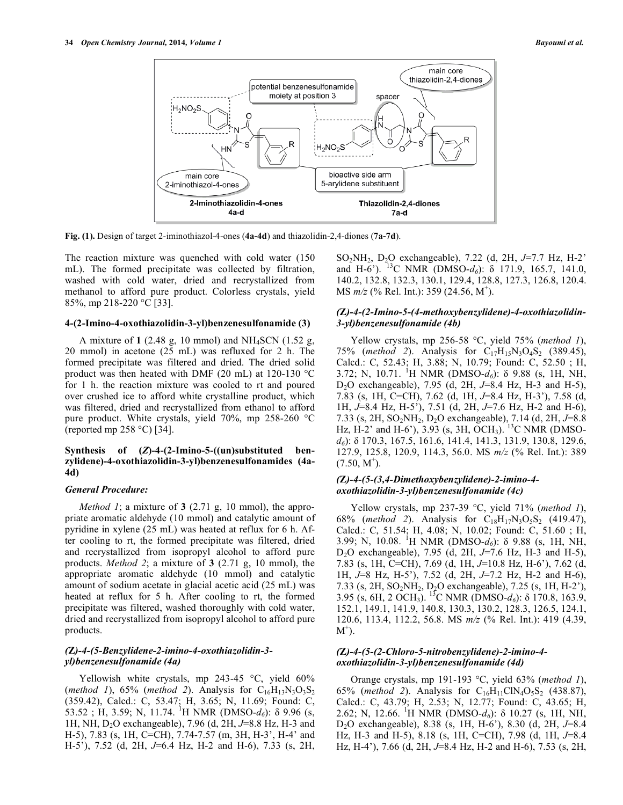

**Fig. (1).** Design of target 2-iminothiazol-4-ones (**4a-4d**) and thiazolidin-2,4-diones (**7a-7d**).

The reaction mixture was quenched with cold water (150 mL). The formed precipitate was collected by filtration, washed with cold water, dried and recrystallized from methanol to afford pure product. Colorless crystals, yield 85%, mp 218-220 °C [33].

## **4-(2-Imino-4-oxothiazolidin-3-yl)benzenesulfonamide (3)**

A mixture of **1** (2.48 g, 10 mmol) and NH4SCN (1.52 g, 20 mmol) in acetone (25 mL) was refluxed for 2 h. The formed precipitate was filtered and dried. The dried solid product was then heated with DMF (20 mL) at 120-130 °C for 1 h. the reaction mixture was cooled to rt and poured over crushed ice to afford white crystalline product, which was filtered, dried and recrystallized from ethanol to afford pure product. White crystals, yield 70%, mp 258-260 °C (reported mp 258 °C) [34].

## **Synthesis of (***Z***)-4-(2-Imino-5-((un)substituted benzylidene)-4-oxothiazolidin-3-yl)benzenesulfonamides (4a-4d)**

#### *General Procedure:*

*Method 1*; a mixture of **3** (2.71 g, 10 mmol), the appropriate aromatic aldehyde (10 mmol) and catalytic amount of pyridine in xylene (25 mL) was heated at reflux for 6 h. After cooling to rt, the formed precipitate was filtered, dried and recrystallized from isopropyl alcohol to afford pure products. *Method 2*; a mixture of **3** (2.71 g, 10 mmol), the appropriate aromatic aldehyde (10 mmol) and catalytic amount of sodium acetate in glacial acetic acid (25 mL) was heated at reflux for 5 h. After cooling to rt, the formed precipitate was filtered, washed thoroughly with cold water, dried and recrystallized from isopropyl alcohol to afford pure products.

# *(***Z***)-4-(5-Benzylidene-2-imino-4-oxothiazolidin-3 yl)benzenesulfonamide (4a)*

Yellowish white crystals, mp 243-45 °C, yield 60% (*method 1*), 65% (*method 2*). Analysis for  $C_{16}H_{13}N_3O_3S_2$ (359.42), Calcd.: C, 53.47; H, 3.65; N, 11.69; Found: C,  $53.52$ ; H, 3.59; N, 11.74. <sup>1</sup>H NMR (DMSO- $d_6$ ):  $\delta$  9.96 (s, 1H, NH, D2O exchangeable), 7.96 (d, 2H, *J*=8.8 Hz, H-3 and H-5), 7.83 (s, 1H, C=CH), 7.74-7.57 (m, 3H, H-3', H-4' and H-5'), 7.52 (d, 2H, *J*=6.4 Hz, H-2 and H-6), 7.33 (s, 2H,

SO2NH2, D2O exchangeable), 7.22 (d, 2H, *J*=7.7 Hz, H-2' and H-6'). <sup>13</sup>C NMR (DMSO- $d_6$ ):  $\delta$  171.9, 165.7, 141.0, 140.2, 132.8, 132.3, 130.1, 129.4, 128.8, 127.3, 126.8, 120.4. MS  $m/z$  (% Rel. Int.): 359 (24.56, M<sup>+</sup>).

# *(***Z***)-4-(2-Imino-5-(4-methoxybenzylidene)-4-oxothiazolidin-3-yl)benzenesulfonamide (4b)*

Yellow crystals, mp 256-58 °C, yield 75% (*method 1*), 75% (*method 2*). Analysis for  $C_{17}H_{15}N_3O_4S_2$  (389.45), Calcd.: C, 52.43; H, 3.88; N, 10.79; Found: C, 52.50 ; H, 3.72; N, 10.71. <sup>1</sup>H NMR (DMSO- $d_6$ ):  $\delta$  9.88 (s, 1H, NH, D2O exchangeable), 7.95 (d, 2H, *J*=8.4 Hz, H-3 and H-5), 7.83 (s, 1H, C=CH), 7.62 (d, 1H, *J*=8.4 Hz, H-3'), 7.58 (d, 1H, *J*=8.4 Hz, H-5'), 7.51 (d, 2H, *J*=7.6 Hz, H-2 and H-6), 7.33 (s, 2H, SO2NH2, D2O exchangeable), 7.14 (d, 2H, *J*=8.8 Hz, H-2' and H-6'), 3.93 (s, 3H, OCH<sub>3</sub>). <sup>13</sup>C NMR (DMSOd<sub>6</sub>):  $\delta$  170.3, 167.5, 161.6, 141.4, 141.3, 131.9, 130.8, 129.6, 127.9, 125.8, 120.9, 114.3, 56.0. MS *m/z* (% Rel. Int.): 389  $(7.50, M^+).$ 

# *(***Z***)-4-(5-(3,4-Dimethoxybenzylidene)-2-imino-4 oxothiazolidin-3-yl)benzenesulfonamide (4c)*

Yellow crystals, mp 237-39 °C, yield 71% (*method 1*), 68% (*method 2*). Analysis for  $C_{18}H_{17}N_3O_5S_2$  (419.47), Calcd.: C, 51.54; H, 4.08; N, 10.02; Found: C, 51.60 ; H, 3.99; N, 10.08. <sup>1</sup>H NMR (DMSO- $d_6$ ):  $\delta$  9.88 (s, 1H, NH, D2O exchangeable), 7.95 (d, 2H, *J*=7.6 Hz, H-3 and H-5), 7.83 (s, 1H, C=CH), 7.69 (d, 1H, *J*=10.8 Hz, H-6'), 7.62 (d, 1H, *J*=8 Hz, H-5'), 7.52 (d, 2H, *J*=7.2 Hz, H-2 and H-6), 7.33 (s, 2H, SO2NH2, D2O exchangeable), 7.25 (s, 1H, H-2'), 3.95 (s, 6H, 2 OCH<sub>3</sub>). <sup>13</sup>C NMR (DMSO- $d_6$ ):  $\delta$  170.8, 163.9, 152.1, 149.1, 141.9, 140.8, 130.3, 130.2, 128.3, 126.5, 124.1, 120.6, 113.4, 112.2, 56.8. MS *m/z* (% Rel. Int.): 419 (4.39,  $M^+$ ).

## *(***Z***)-4-(5-(2-Chloro-5-nitrobenzylidene)-2-imino-4 oxothiazolidin-3-yl)benzenesulfonamide (4d)*

Orange crystals, mp 191-193 °C, yield 63% (*method 1*), 65% (*method 2*). Analysis for  $C_{16}H_{11}CIN_4O_5S_2$  (438.87), Calcd.: C, 43.79; H, 2.53; N, 12.77; Found: C, 43.65; H, 2.62; N, 12.66. <sup>1</sup>H NMR (DMSO-*d*<sub>6</sub>): δ 10.27 (s, 1H, NH, D2O exchangeable), 8.38 (s, 1H, H-6'), 8.30 (d, 2H, *J*=8.4 Hz, H-3 and H-5), 8.18 (s, 1H, C=CH), 7.98 (d, 1H, *J*=8.4 Hz, H-4'), 7.66 (d, 2H, *J*=8.4 Hz, H-2 and H-6), 7.53 (s, 2H,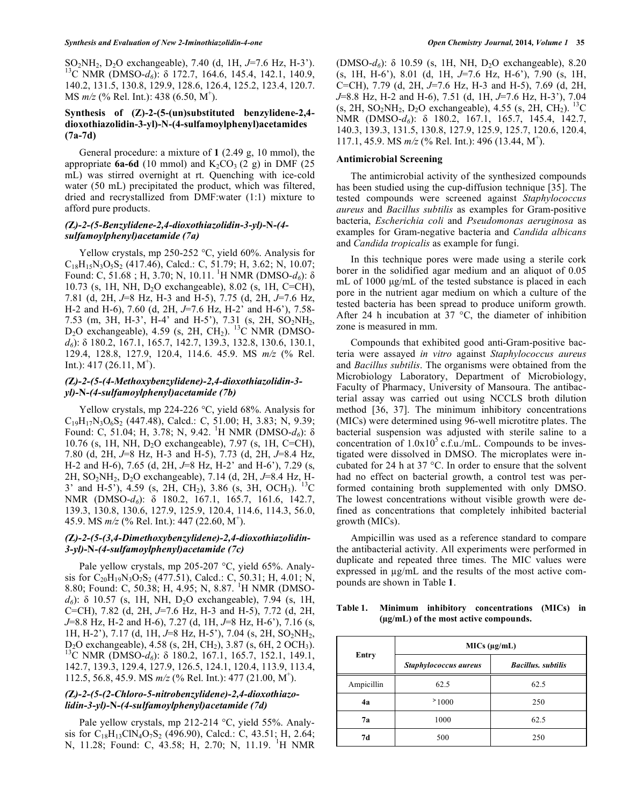SO<sub>2</sub>NH<sub>2</sub>, D<sub>2</sub>O exchangeable), 7.40 (d, 1H, *J*=7.6 Hz, H-3<sup>2</sup>).<br><sup>13</sup>C NMR (DMSO-*d<sub>6</sub>*):  $\delta$  172.7, 164.6, 145.4, 142.1, 140.9, 140.2, 131.5, 130.8, 129.9, 128.6, 126.4, 125.2, 123.4, 120.7. MS  $m/z$  (% Rel. Int.): 438 (6.50, M<sup>+</sup>).

# **Synthesis of (Z)-2-(5-(un)substituted benzylidene-2,4 dioxothiazolidin-3-yl)-N-(4-sulfamoylphenyl)acetamides (7a-7d)**

General procedure: a mixture of **1** (2.49 g, 10 mmol), the appropriate  $6a-6d$  (10 mmol) and  $K_2CO_3$  (2 g) in DMF (25) mL) was stirred overnight at rt. Quenching with ice-cold water (50 mL) precipitated the product, which was filtered, dried and recrystallized from DMF:water (1:1) mixture to afford pure products.

# *(***Z***)-2-(5-Benzylidene-2,4-dioxothiazolidin-3-yl)-***N***-(4 sulfamoylphenyl)acetamide (7a)*

Yellow crystals, mp 250-252 °C, yield 60%. Analysis for  $C_{18}H_{15}N_3O_5S_2$  (417.46), Calcd.: C, 51.79; H, 3.62; N, 10.07; Found: C, 51.68; H, 3.70; N, 10.11.<sup>1</sup>H NMR (DMSO- $d_6$ ):  $\delta$ 10.73 (s, 1H, NH, D<sub>2</sub>O exchangeable), 8.02 (s, 1H, C=CH), 7.81 (d, 2H, *J*=8 Hz, H-3 and H-5), 7.75 (d, 2H, *J*=7.6 Hz, H-2 and H-6), 7.60 (d, 2H, *J*=7.6 Hz, H-2' and H-6'), 7.58- 7.53 (m, 3H, H-3', H-4' and H-5'), 7.31 (s, 2H, SO2NH2,  $D_2O$  exchangeable), 4.59 (s, 2H, CH<sub>2</sub>). <sup>13</sup>C NMR (DMSOd<sub>6</sub>):  $\delta$  180.2, 167.1, 165.7, 142.7, 139.3, 132.8, 130.6, 130.1, 129.4, 128.8, 127.9, 120.4, 114.6. 45.9. MS *m/z* (% Rel. Int.):  $417(26.11, M^+)$ .

# *(***Z***)-2-(5-(4-Methoxybenzylidene)-2,4-dioxothiazolidin-3 yl)-***N***-(4-sulfamoylphenyl)acetamide (7b)*

Yellow crystals, mp 224-226 °C, yield 68%. Analysis for  $C_{19}H_{17}N_3O_6S_2$  (447.48), Calcd.: C, 51.00; H, 3.83; N, 9.39; Found: C, 51.04; H, 3.78; N, 9.42. <sup>1</sup>H NMR (DMSO- $d_6$ ):  $\delta$ 10.76 (s, 1H, NH, D2O exchangeable), 7.97 (s, 1H, C=CH), 7.80 (d, 2H, *J*=8 Hz, H-3 and H-5), 7.73 (d, 2H, *J*=8.4 Hz, H-2 and H-6), 7.65 (d, 2H, *J*=8 Hz, H-2' and H-6'), 7.29 (s, 2H, SO2NH2, D2O exchangeable), 7.14 (d, 2H, *J*=8.4 Hz, H-3' and H-5'), 4.59 (s, 2H, CH<sub>2</sub>), 3.86 (s, 3H, OCH<sub>3</sub>). <sup>13</sup>C NMR (DMSO-d<sub>6</sub>):  $\delta$  180.2, 167.1, 165.7, 161.6, 142.7, 139.3, 130.8, 130.6, 127.9, 125.9, 120.4, 114.6, 114.3, 56.0, 45.9. MS *m/z* (% Rel. Int.): 447 (22.60, M<sup>+</sup> ).

## *(***Z***)-2-(5-(3,4-Dimethoxybenzylidene)-2,4-dioxothiazolidin-3-yl)-***N***-(4-sulfamoylphenyl)acetamide (7c)*

Pale yellow crystals, mp 205-207 °C, yield 65%. Analysis for  $C_{20}H_{19}N_3O_7S_2$  (477.51), Calcd.: C, 50.31; H, 4.01; N, 8.80; Found: C, 50.38; H, 4.95; N, 8.87. <sup>1</sup>H NMR (DMSO $d_6$ ):  $\delta$  10.57 (s, 1H, NH, D<sub>2</sub>O exchangeable), 7.94 (s, 1H, C=CH), 7.82 (d, 2H, *J*=7.6 Hz, H-3 and H-5), 7.72 (d, 2H, *J*=8.8 Hz, H-2 and H-6), 7.27 (d, 1H, *J*=8 Hz, H-6'), 7.16 (s, 1H, H-2'), 7.17 (d, 1H, J=8 Hz, H-5'), 7.04 (s, 2H, SO<sub>2</sub>NH<sub>2</sub>, D<sub>2</sub>O exchangeable), 4.58 (s, 2H, CH<sub>2</sub>), 3.87 (s, 6H, 2 OCH<sub>3</sub>).<br><sup>13</sup>C NMR (DMSO-*d<sub>6</sub>*): δ 180.2, 167.1, 165.7, 152.1, 149.1, 142.7, 139.3, 129.4, 127.9, 126.5, 124.1, 120.4, 113.9, 113.4, 112.5, 56.8, 45.9. MS *m/z* (% Rel. Int.): 477 (21.00, M+ ).

# *(***Z***)-2-(5-(2-Chloro-5-nitrobenzylidene)-2,4-dioxothiazolidin-3-yl)-***N***-(4-sulfamoylphenyl)acetamide (7d)*

Pale yellow crystals, mp 212-214 °C, yield 55%. Analysis for  $C_{18}H_{13}CIN_4O_7S_2$  (496.90), Calcd.: C, 43.51; H, 2.64; N, 11.28; Found: C, 43.58; H, 2.70; N, 11.19. <sup>1</sup>H NMR

 $(DMSO-d_6)$ :  $\delta$  10.59 (s, 1H, NH, D<sub>2</sub>O exchangeable), 8.20 (s, 1H, H-6'), 8.01 (d, 1H, *J*=7.6 Hz, H-6'), 7.90 (s, 1H, C=CH), 7.79 (d, 2H, *J*=7.6 Hz, H-3 and H-5), 7.69 (d, 2H, *J*=8.8 Hz, H-2 and H-6), 7.51 (d, 1H, *J*=7.6 Hz, H-3'), 7.04 (s, 2H, SO<sub>2</sub>NH<sub>2</sub>, D<sub>2</sub>O exchangeable), 4.55 (s, 2H, CH<sub>2</sub>). <sup>13</sup>C NMR (DMSO-d<sub>6</sub>):  $\delta$  180.2, 167.1, 165.7, 145.4, 142.7, 140.3, 139.3, 131.5, 130.8, 127.9, 125.9, 125.7, 120.6, 120.4, 117.1, 45.9. MS *m/z* (% Rel. Int.): 496 (13.44, M+ ).

## **Antimicrobial Screening**

The antimicrobial activity of the synthesized compounds has been studied using the cup-diffusion technique [35]. The tested compounds were screened against *Staphylococcus aureus* and *Bacillus subtilis* as examples for Gram-positive bacteria, *Escherichia coli* and *Pseudomonas aeruginosa* as examples for Gram-negative bacteria and *Candida albicans* and *Candida tropicalis* as example for fungi.

In this technique pores were made using a sterile cork borer in the solidified agar medium and an aliquot of 0.05 mL of 1000 μg/mL of the tested substance is placed in each pore in the nutrient agar medium on which a culture of the tested bacteria has been spread to produce uniform growth. After 24 h incubation at 37  $\degree$ C, the diameter of inhibition zone is measured in mm.

Compounds that exhibited good anti-Gram-positive bacteria were assayed *in vitro* against *Staphylococcus aureus* and *Bacillus subtilis*. The organisms were obtained from the Microbiology Laboratory, Department of Microbiology, Faculty of Pharmacy, University of Mansoura. The antibacterial assay was carried out using NCCLS broth dilution method [36, 37]. The minimum inhibitory concentrations (MICs) were determined using 96-well microtitre plates. The bacterial suspension was adjusted with sterile saline to a concentration of  $1.0x10^5$  c.f.u./mL. Compounds to be investigated were dissolved in DMSO. The microplates were incubated for 24 h at 37 °C. In order to ensure that the solvent had no effect on bacterial growth, a control test was performed containing broth supplemented with only DMSO. The lowest concentrations without visible growth were defined as concentrations that completely inhibited bacterial growth (MICs).

Ampicillin was used as a reference standard to compare the antibacterial activity. All experiments were performed in duplicate and repeated three times. The MIC values were expressed in  $\mu$ g/mL and the results of the most active compounds are shown in Table **1**.

## **Table 1. Minimum inhibitory concentrations (MICs) in (g/mL) of the most active compounds.**

| Entry      | MICs (µg/mL)          |                            |  |
|------------|-----------------------|----------------------------|--|
|            | Staphylococcus aureus | <b>Bacillus</b> , subtilis |  |
| Ampicillin | 62.5                  | 62.5                       |  |
| 4a         | 21000                 | 250                        |  |
| 7а         | 1000                  | 62.5                       |  |
| 7d         | 500                   | 250                        |  |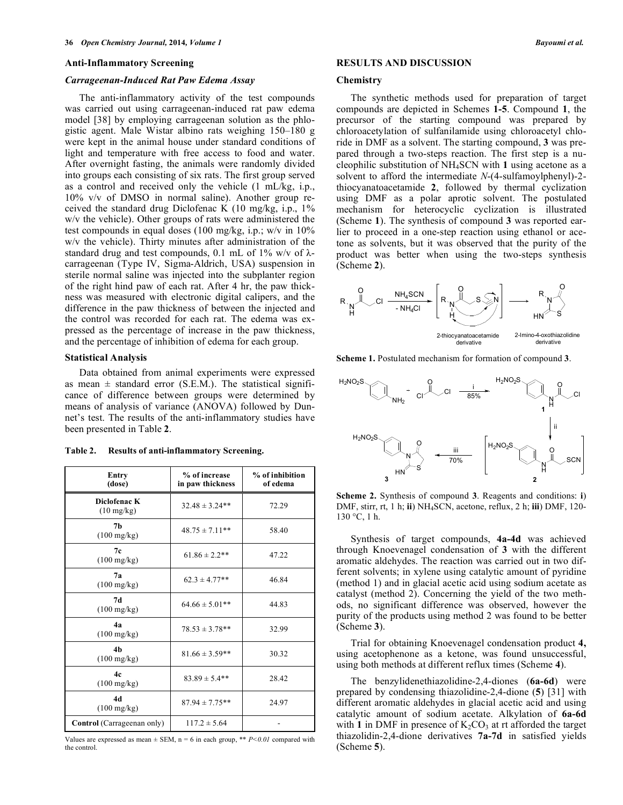#### **Anti-Inflammatory Screening**

#### *Carrageenan-Induced Rat Paw Edema Assay*

The anti-inflammatory activity of the test compounds was carried out using carrageenan-induced rat paw edema model [38] by employing carrageenan solution as the phlogistic agent. Male Wistar albino rats weighing 150–180 g were kept in the animal house under standard conditions of light and temperature with free access to food and water. After overnight fasting, the animals were randomly divided into groups each consisting of six rats. The first group served as a control and received only the vehicle (1 mL/kg, i.p., 10% v/v of DMSO in normal saline). Another group received the standard drug Diclofenac K (10 mg/kg, i.p., 1% w/v the vehicle). Other groups of rats were administered the test compounds in equal doses (100 mg/kg, i.p.; w/v in 10% w/v the vehicle). Thirty minutes after administration of the standard drug and test compounds, 0.1 mL of 1% w/v of  $\lambda$ carrageenan (Type IV, Sigma-Aldrich, USA) suspension in sterile normal saline was injected into the subplanter region of the right hind paw of each rat. After 4 hr, the paw thickness was measured with electronic digital calipers, and the difference in the paw thickness of between the injected and the control was recorded for each rat. The edema was expressed as the percentage of increase in the paw thickness, and the percentage of inhibition of edema for each group.

## **Statistical Analysis**

Data obtained from animal experiments were expressed as mean  $\pm$  standard error (S.E.M.). The statistical significance of difference between groups were determined by means of analysis of variance (ANOVA) followed by Dunnet's test. The results of the anti-inflammatory studies have been presented in Table **2**.

**Table 2. Results of anti-inflammatory Screening.** 

| Entry<br>(dose)                         | % of increase<br>in paw thickness | % of inhibition<br>of edema |
|-----------------------------------------|-----------------------------------|-----------------------------|
| Diclofenac K<br>$(10 \text{ mg/kg})$    | $32.48 \pm 3.24**$                | 72.29                       |
| 7 <sub>h</sub><br>$(100 \text{ mg/kg})$ | $48.75 \pm 7.11$ **               | 58.40                       |
| 7c<br>$(100 \text{ mg/kg})$             | $61.86 \pm 2.2$ **                | 47.22                       |
| 7a<br>$(100 \text{ mg/kg})$             | $62.3 \pm 4.77**$                 | 46.84                       |
| 7d<br>$(100 \text{ mg/kg})$             | $64.66 \pm 5.01**$                | 44.83                       |
| 4а<br>$(100 \text{ mg/kg})$             | $78.53 \pm 3.78**$                | 32.99                       |
| 4 <sub>h</sub><br>$(100 \text{ mg/kg})$ | $81.66 \pm 3.59**$                | 30.32                       |
| 4c<br>$(100 \text{ mg/kg})$             | $83.89 \pm 5.4**$                 | 28.42                       |
| 4d<br>$(100 \text{ mg/kg})$             | $87.94 \pm 7.75**$                | 24.97                       |
| Control (Carrageenan only)              | $117.2 \pm 5.64$                  |                             |

Values are expressed as mean  $\pm$  SEM, n = 6 in each group, \*\* *P<0.01* compared with the control.

# **RESULTS AND DISCUSSION**

#### **Chemistry**

The synthetic methods used for preparation of target compounds are depicted in Schemes **1-5**. Compound **1**, the precursor of the starting compound was prepared by chloroacetylation of sulfanilamide using chloroacetyl chloride in DMF as a solvent. The starting compound, **3** was prepared through a two-steps reaction. The first step is a nucleophilic substitution of NH4SCN with **1** using acetone as a solvent to afford the intermediate *N*-(4-sulfamoylphenyl)-2 thiocyanatoacetamide **2**, followed by thermal cyclization using DMF as a polar aprotic solvent. The postulated mechanism for heterocyclic cyclization is illustrated (Scheme **1**). The synthesis of compound **3** was reported earlier to proceed in a one-step reaction using ethanol or acetone as solvents, but it was observed that the purity of the product was better when using the two-steps synthesis (Scheme **2**).



**Scheme 1.** Postulated mechanism for formation of compound **3**.



**Scheme 2.** Synthesis of compound **3**. Reagents and conditions: **i**) DMF, stirr, rt, 1 h; **ii**) NH4SCN, acetone, reflux, 2 h; **iii**) DMF, 120-  $130 °C$ , 1 h.

Synthesis of target compounds, **4a-4d** was achieved through Knoevenagel condensation of **3** with the different aromatic aldehydes. The reaction was carried out in two different solvents; in xylene using catalytic amount of pyridine (method 1) and in glacial acetic acid using sodium acetate as catalyst (method 2). Concerning the yield of the two methods, no significant difference was observed, however the purity of the products using method 2 was found to be better (Scheme **3**).

Trial for obtaining Knoevenagel condensation product **4,**  using acetophenone as a ketone, was found unsuccessful, using both methods at different reflux times (Scheme **4**).

The benzylidenethiazolidine-2,4-diones (**6a-6d**) were prepared by condensing thiazolidine-2,4-dione (**5**) [31] with different aromatic aldehydes in glacial acetic acid and using catalytic amount of sodium acetate. Alkylation of **6a-6d** with 1 in DMF in presence of  $K_2CO_3$  at rt afforded the target thiazolidin-2,4-dione derivatives **7a-7d** in satisfied yields (Scheme **5**).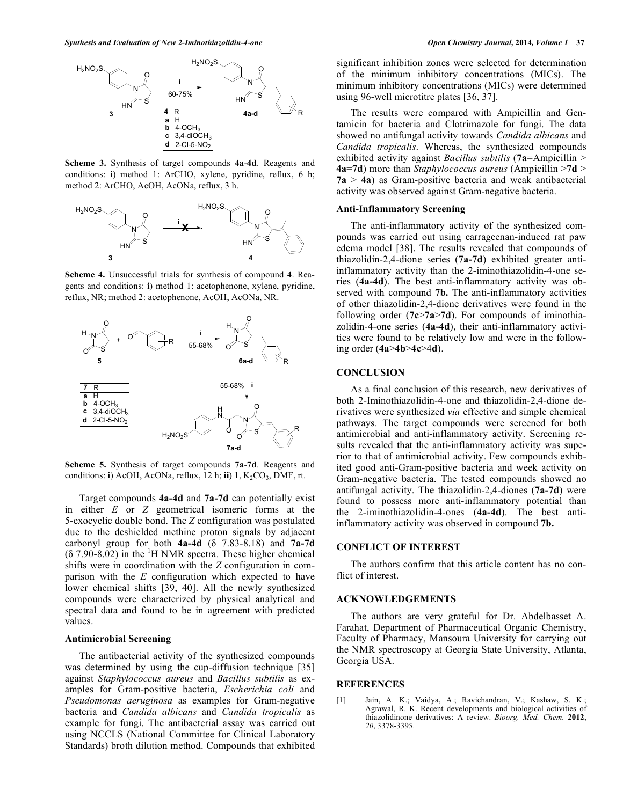

**Scheme 3.** Synthesis of target compounds **4a**-**4d**. Reagents and conditions: **i**) method 1: ArCHO, xylene, pyridine, reflux, 6 h; method 2: ArCHO, AcOH, AcONa, reflux, 3 h.



**Scheme 4.** Unsuccessful trials for synthesis of compound **4**. Reagents and conditions: **i**) method 1: acetophenone, xylene, pyridine, reflux, NR; method 2: acetophenone, AcOH, AcONa, NR.



**Scheme 5.** Synthesis of target compounds **7a**-**7d**. Reagents and conditions: **i**) AcOH, AcONa, reflux, 12 h; **ii**) 1, K<sub>2</sub>CO<sub>3</sub>, DMF, rt.

Target compounds **4a-4d** and **7a-7d** can potentially exist in either *E* or *Z* geometrical isomeric forms at the 5-exocyclic double bond. The *Z* configuration was postulated due to the deshielded methine proton signals by adjacent carbonyl group for both  $4a-4d$  ( $\delta$  7.83-8.18) and  $7a-7d$  $( \delta$  7.90-8.02) in the <sup>1</sup>H NMR spectra. These higher chemical shifts were in coordination with the *Z* configuration in comparison with the *E* configuration which expected to have lower chemical shifts [39, 40]. All the newly synthesized compounds were characterized by physical analytical and spectral data and found to be in agreement with predicted values.

## **Antimicrobial Screening**

The antibacterial activity of the synthesized compounds was determined by using the cup-diffusion technique [35] against *Staphylococcus aureus* and *Bacillus subtilis* as examples for Gram-positive bacteria, *Escherichia coli* and *Pseudomonas aeruginosa* as examples for Gram-negative bacteria and *Candida albicans* and *Candida tropicalis* as example for fungi. The antibacterial assay was carried out using NCCLS (National Committee for Clinical Laboratory Standards) broth dilution method. Compounds that exhibited

significant inhibition zones were selected for determination of the minimum inhibitory concentrations (MICs). The minimum inhibitory concentrations (MICs) were determined using 96-well microtitre plates [36, 37].

The results were compared with Ampicillin and Gentamicin for bacteria and Clotrimazole for fungi. The data showed no antifungal activity towards *Candida albicans* and *Candida tropicalis*. Whereas, the synthesized compounds exhibited activity against *Bacillus subtilis* (**7a**=Ampicillin > **4a**=**7d**) more than *Staphylococcus aureus* (Ampicillin >**7d** > **7a** > **4a**) as Gram-positive bacteria and weak antibacterial activity was observed against Gram-negative bacteria.

## **Anti-Inflammatory Screening**

The anti-inflammatory activity of the synthesized compounds was carried out using carrageenan-induced rat paw edema model [38]. The results revealed that compounds of thiazolidin-2,4-dione series (**7a-7d**) exhibited greater antiinflammatory activity than the 2-iminothiazolidin-4-one series (**4a-4d**). The best anti-inflammatory activity was observed with compound **7b.** The anti-inflammatory activities of other thiazolidin-2,4-dione derivatives were found in the following order (**7c**>**7a**>**7d**). For compounds of iminothiazolidin-4-one series (**4a-4d**), their anti-inflammatory activities were found to be relatively low and were in the following order (**4a**>**4b**>**4c**>4**d**).

#### **CONCLUSION**

As a final conclusion of this research, new derivatives of both 2-Iminothiazolidin-4-one and thiazolidin-2,4-dione derivatives were synthesized *via* effective and simple chemical pathways. The target compounds were screened for both antimicrobial and anti-inflammatory activity. Screening results revealed that the anti-inflammatory activity was superior to that of antimicrobial activity. Few compounds exhibited good anti-Gram-positive bacteria and week activity on Gram-negative bacteria. The tested compounds showed no antifungal activity. The thiazolidin-2,4-diones (**7a-7d**) were found to possess more anti-inflammatory potential than the 2-iminothiazolidin-4-ones (**4a-4d**). The best antiinflammatory activity was observed in compound **7b.** 

#### **CONFLICT OF INTEREST**

The authors confirm that this article content has no conflict of interest.

## **ACKNOWLEDGEMENTS**

The authors are very grateful for Dr. Abdelbasset A. Farahat, Department of Pharmaceutical Organic Chemistry, Faculty of Pharmacy, Mansoura University for carrying out the NMR spectroscopy at Georgia State University, Atlanta, Georgia USA.

#### **REFERENCES**

[1] Jain, A. K.; Vaidya, A.; Ravichandran, V.; Kashaw, S. K.; Agrawal, R. K. Recent developments and biological activities of thiazolidinone derivatives: A review. *Bioorg. Med. Chem.* **2012**, *20*, 3378-3395.